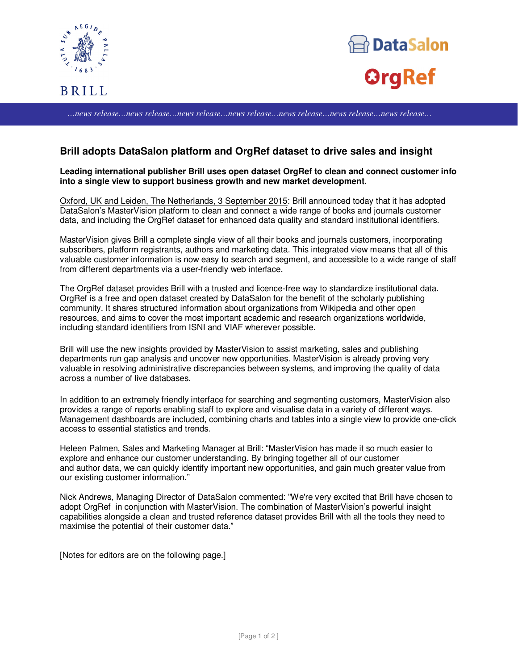





*…news release…news release…news release…news release…news release…news release…news release…*

## **Brill adopts DataSalon platform and OrgRef dataset to drive sales and insight**

**Leading international publisher Brill uses open dataset OrgRef to clean and connect customer info into a single view to support business growth and new market development.**

Oxford, UK and Leiden, The Netherlands, 3 September 2015: Brill announced today that it has adopted DataSalon's MasterVision platform to clean and connect a wide range of books and journals customer data, and including the OrgRef dataset for enhanced data quality and standard institutional identifiers.

MasterVision gives Brill a complete single view of all their books and journals customers, incorporating subscribers, platform registrants, authors and marketing data. This integrated view means that all of this valuable customer information is now easy to search and segment, and accessible to a wide range of staff from different departments via a user-friendly web interface.

The OrgRef dataset provides Brill with a trusted and licence-free way to standardize institutional data. OrgRef is a free and open dataset created by DataSalon for the benefit of the scholarly publishing community. It shares structured information about organizations from Wikipedia and other open resources, and aims to cover the most important academic and research organizations worldwide, including standard identifiers from ISNI and VIAF wherever possible.

Brill will use the new insights provided by MasterVision to assist marketing, sales and publishing departments run gap analysis and uncover new opportunities. MasterVision is already proving very valuable in resolving administrative discrepancies between systems, and improving the quality of data across a number of live databases.

In addition to an extremely friendly interface for searching and segmenting customers, MasterVision also provides a range of reports enabling staff to explore and visualise data in a variety of different ways. Management dashboards are included, combining charts and tables into a single view to provide one-click access to essential statistics and trends.

Heleen Palmen, Sales and Marketing Manager at Brill: "MasterVision has made it so much easier to explore and enhance our customer understanding. By bringing together all of our customer and author data, we can quickly identify important new opportunities, and gain much greater value from our existing customer information."

Nick Andrews, Managing Director of DataSalon commented: "We're very excited that Brill have chosen to adopt OrgRef in conjunction with MasterVision. The combination of MasterVision's powerful insight capabilities alongside a clean and trusted reference dataset provides Brill with all the tools they need to maximise the potential of their customer data."

[Notes for editors are on the following page.]